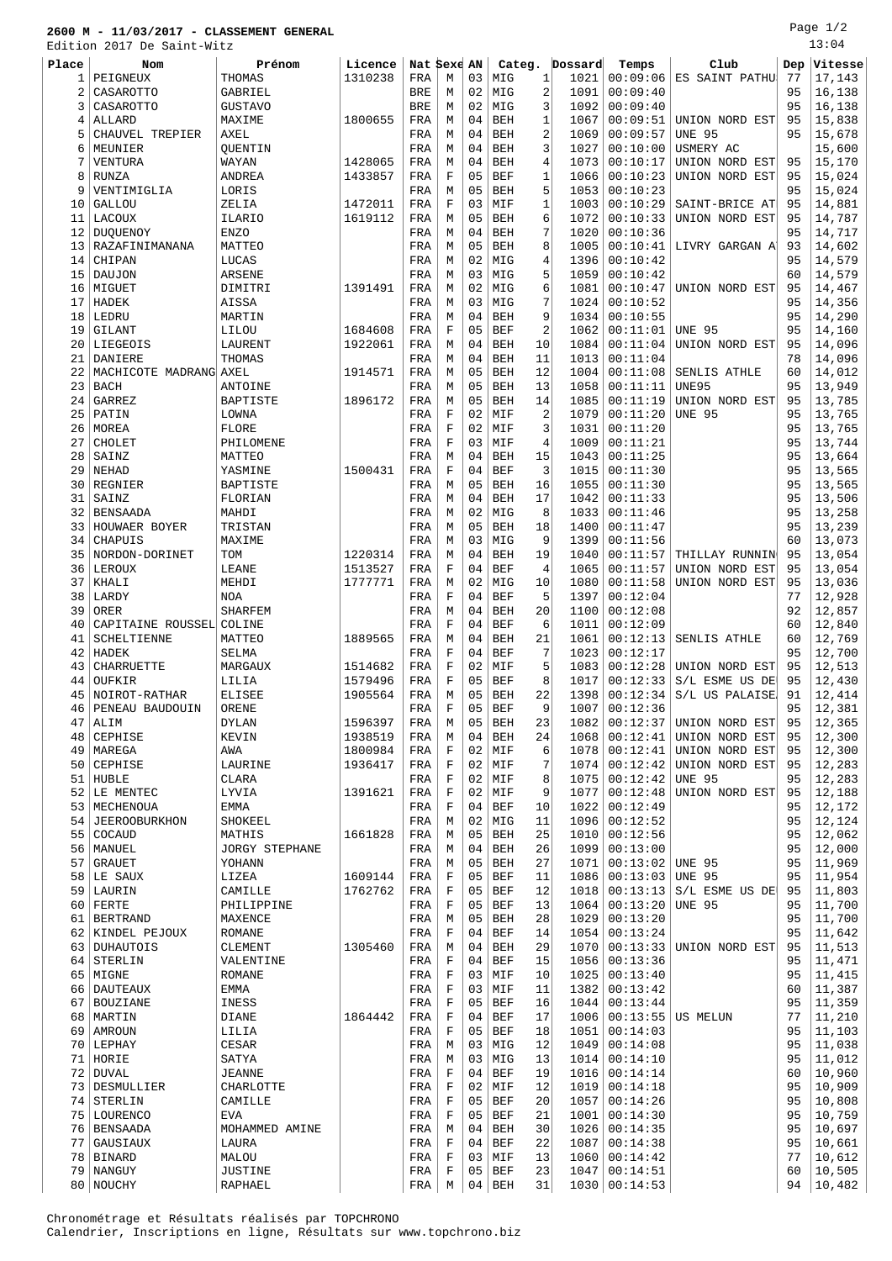## **2600 M - 11/03/2017 - CLASSEMENT GENERAL**

Edition 2017 De Saint-Witz

| Place          | Nom                      | Prénom                | Licence |            | Nat Sexe    | AN | Categ.     |                | Dossard | Temps               | Club                      | Dep | Vitesse |
|----------------|--------------------------|-----------------------|---------|------------|-------------|----|------------|----------------|---------|---------------------|---------------------------|-----|---------|
| 1              | PEIGNEUX                 | THOMAS                | 1310238 | FRA        | М           | 03 | MIG        | 1              | 1021    | 00:09:06            | ES SAINT PATHU            | 77  | 17,143  |
| 2              | CASAROTTO                | GABRIEL               |         | BRE        | М           | 02 | MIG        | 2              | 1091    | 00:09:40            |                           | 95  | 16,138  |
| 3              | CASAROTTO                | <b>GUSTAVO</b>        |         | <b>BRE</b> | М           | 02 | MIG        | 3              | 1092    | 00:09:40            |                           | 95  | 16,138  |
| $\overline{4}$ | ALLARD                   | MAXIME                | 1800655 | FRA        | М           | 04 | <b>BEH</b> | 1              | 1067    | 00:09:51            | UNION NORD EST            | 95  | 15,838  |
| 5              | CHAUVEL TREPIER          | <b>AXEL</b>           |         | FRA        | М           | 04 | <b>BEH</b> | 2              | 1069    | 00:09:57            | <b>UNE 95</b>             | 95  | 15,678  |
| 6              | MEUNIER                  | QUENTIN               |         | FRA        | М           | 04 | <b>BEH</b> | 3              | 1027    | 00:10:00            | USMERY AC                 |     | 15,600  |
| 7              | VENTURA                  | WAYAN                 | 1428065 | FRA        | М           | 04 | <b>BEH</b> | 4              | 1073    | 00:10:17            | UNION NORD EST            | 95  | 15,170  |
| 8              | RUNZA                    | ANDREA                | 1433857 | FRA        | F           | 05 | BEF        | 1              | 1066    | 00:10:23            | UNION NORD EST            | 95  | 15,024  |
| 9              | VENTIMIGLIA              | LORIS                 |         | FRA        | М           | 05 | <b>BEH</b> | 5              | 1053    | 00:10:23            |                           | 95  | 15,024  |
| 10             | <b>GALLOU</b>            | ZELIA                 | 1472011 | FRA        | F           | 03 | MIF        | $\mathbf{1}$   | 1003    | 00:10:29            | SAINT-BRICE AT            | 95  | 14,881  |
| 11             | LACOUX                   | ILARIO                | 1619112 | FRA        | М           | 05 | <b>BEH</b> | 6              | 1072    | 00:10:33            | UNION NORD EST            | 95  | 14,787  |
| 12             | DUQUENOY                 | <b>ENZO</b>           |         | FRA        | М           | 04 | <b>BEH</b> | 7              | 1020    | 00:10:36            |                           | 95  | 14,717  |
| 13             | RAZAFINIMANANA           | MATTEO                |         | FRA        | М           | 05 | <b>BEH</b> | 8              | 1005    | 00:10:41            | LIVRY GARGAN A            | 93  | 14,602  |
| 14             | CHIPAN                   | LUCAS                 |         | FRA        | М           | 02 | MIG        | 4              | 1396    | 00:10:42            |                           | 95  | 14,579  |
| 15             | DAUJON                   | ARSENE                |         | FRA        | М           | 03 | MIG        | 5              | 1059    | 00:10:42            |                           | 60  | 14,579  |
| 16             | MIGUET                   | DIMITRI               | 1391491 | FRA        | М           | 02 | MIG        | 6              | 1081    | 00:10:47            | UNION NORD EST            | 95  | 14,467  |
| 17             | HADEK                    | AISSA                 |         | FRA        | М           | 03 | MIG        | 7              | 1024    | 00:10:52            |                           | 95  | 14,356  |
| 18             | LEDRU                    | MARTIN                |         | FRA        | М           | 04 | <b>BEH</b> | 9              | 1034    | 00:10:55            |                           | 95  | 14,290  |
| 19             | GILANT                   | LILOU                 | 1684608 | FRA        | $\mathbf F$ | 05 | BEF        | $\overline{2}$ | 1062    | 00:11:01            | <b>UNE 95</b>             | 95  | 14,160  |
| 20             | LIEGEOIS                 | LAURENT               | 1922061 | FRA        | М           | 04 | <b>BEH</b> | 10             | 1084    | 00:11:04            | UNION NORD EST            | 95  | 14,096  |
| 21             | DANIERE                  | THOMAS                |         | FRA        | М           | 04 | <b>BEH</b> | 11             | 1013    | 00:11:04            |                           | 78  | 14,096  |
| 22             | MACHICOTE MADRANG AXEL   |                       | 1914571 | FRA        | М           | 05 | <b>BEH</b> | 12             | 1004    | 00:11:08            | SENLIS ATHLE              | 60  | 14,012  |
| 23             | <b>BACH</b>              | ANTOINE               |         | FRA        | М           | 05 | <b>BEH</b> | 13             | 1058    | 00:11:11            | <b>UNE95</b>              | 95  | 13,949  |
| 24             | GARREZ                   | <b>BAPTISTE</b>       | 1896172 | FRA        | М           | 05 | <b>BEH</b> | 14             | 1085    | 00:11:19            | UNION NORD EST            | 95  | 13,785  |
| 25             | PATIN                    | LOWNA                 |         | FRA        | $\mathbf F$ | 02 | MIF        | $\overline{2}$ | 1079    | 00:11:20            | <b>UNE 95</b>             | 95  | 13,765  |
| 26             | MOREA                    | FLORE                 |         | FRA        | F           | 02 | MIF        | 3              | 1031    | 00:11:20            |                           | 95  | 13,765  |
| 27             | CHOLET                   | PHILOMENE             |         | FRA        | $\mathbf F$ | 03 | MIF        | 4              | 1009    | 00:11:21            |                           | 95  | 13,744  |
| 28             | SAINZ                    | MATTEO                |         | FRA        | М           | 04 | <b>BEH</b> | 15             | 1043    | 00:11:25            |                           | 95  | 13,664  |
| 29             | <b>NEHAD</b>             | YASMINE               | 1500431 | FRA        | $\mathbf F$ | 04 | <b>BEF</b> | 3              | 1015    | 00:11:30            |                           | 95  | 13,565  |
| 30             | REGNIER                  | BAPTISTE              |         | FRA        | М           | 05 | <b>BEH</b> | 16             | 1055    | 00:11:30            |                           | 95  | 13,565  |
| 31             | SAINZ                    | FLORIAN               |         | FRA        | М           | 04 | <b>BEH</b> | 17             | 1042    | 00:11:33            |                           | 95  | 13,506  |
| 32             | BENSAADA                 | MAHDI                 |         | FRA        | М           | 02 | MIG        | 8              | 1033    | 00:11:46            |                           | 95  | 13,258  |
| 33             | HOUWAER BOYER            | TRISTAN               |         | FRA        | М           | 05 | BEH        | 18             | 1400    | 00:11:47            |                           | 95  | 13,239  |
| 34             | CHAPUIS                  | MAXIME                |         | FRA        | М           | 03 | MIG        | 9              | 1399    | 00:11:56            |                           | 60  | 13,073  |
| 35             | NORDON-DORINET           | TOM                   | 1220314 | FRA        | М           | 04 | <b>BEH</b> | 19             | 1040    | 00:11:57            | THILLAY RUNNIN            | 95  | 13,054  |
| 36             | LEROUX                   | LEANE                 | 1513527 | FRA        | $\mathbf F$ | 04 | <b>BEF</b> | 4              | 1065    | 00:11:57            | UNION NORD EST            | 95  | 13,054  |
| 37             | KHALI                    | MEHDI                 | 1777771 | FRA        | М           | 02 | MIG        | 10             | 1080    | 00:11:58            | UNION NORD EST            | 95  | 13,036  |
| 38             | LARDY                    | <b>NOA</b>            |         | FRA        | F           | 04 | <b>BEF</b> | 5              | 1397    | 00:12:04            |                           | 77  | 12,928  |
| 39             | ORER                     | <b>SHARFEM</b>        |         | FRA        | М           | 04 | <b>BEH</b> | 20             | 1100    | 00:12:08            |                           | 92  | 12,857  |
| 40             | CAPITAINE ROUSSEL COLINE |                       |         | FRA        | $\mathbf F$ | 04 | <b>BEF</b> | 6              | 1011    | 00:12:09            |                           | 60  | 12,840  |
| 41             | <b>SCHELTIENNE</b>       | MATTEO                | 1889565 | FRA        | М           | 04 | <b>BEH</b> | 21             | 1061    | 00:12:13            | SENLIS ATHLE              | 60  | 12,769  |
| 42             | HADEK                    | SELMA                 |         | FRA        | F           | 04 | <b>BEF</b> | 7              | 1023    | 00:12:17            |                           | 95  | 12,700  |
| 43             | <b>CHARRUETTE</b>        | MARGAUX               | 1514682 | FRA        | $\mathbf F$ | 02 | MIF        | 5              | 1083    | 00:12:28            | UNION NORD EST            | 95  | 12,513  |
| 44             | OUFKIR                   | LILIA                 | 1579496 | FRA        | F           | 05 | <b>BEF</b> | 8              | 1017    | 00:12:33            | S/L ESME US DE            | 95  | 12,430  |
| 45             | NOIROT-RATHAR            | <b>ELISEE</b>         | 1905564 | FRA        | М           | 05 | <b>BEH</b> | 22             | 1398    | 00:12:34            | S/L US PALAISE            | 91  | 12,414  |
| 46             | PENEAU BAUDOUIN          | ORENE                 |         | FRA        | F           | 05 | BEF        | 9              | 1007    | 00:12:36            |                           | 95  | 12,381  |
| 47             | ALIM                     | <b>DYLAN</b>          | 1596397 | FRA        | M           | 05 | <b>BEH</b> | 23             | 1082    |                     | $00:12:37$ UNION NORD EST | 95  | 12,365  |
|                | 48 CEPHISE               | KEVIN                 | 1938519 | FRA        | М           | 04 | BEH        | 24             | 1068    | 00:12:41            | UNION NORD EST            | 95  | 12,300  |
| 49             | MAREGA                   | AWA                   | 1800984 | FRA        | F           | 02 | MIF        | 6              | 1078    | 00:12:41            | UNION NORD EST            | 95  | 12,300  |
|                | 50 CEPHISE               | LAURINE               | 1936417 | FRA        | $\mathbf F$ | 02 | MIF        | 7              | 1074    | 00:12:42            | UNION NORD EST            | 95  | 12,283  |
| 51             | HUBLE                    | CLARA                 |         | FRA        | F           | 02 | MIF        | 8              | 1075    | 00:12:42            | <b>UNE 95</b>             | 95  | 12,283  |
| 52             | LE MENTEC                | LYVIA                 | 1391621 | FRA        | $\mathbf F$ | 02 | MIF        | 9              | 1077    | 00:12:48            | UNION NORD EST            | 95  | 12,188  |
|                | 53   MECHENOUA           | EMMA                  |         | FRA        | $\mathbf F$ | 04 | BEF        | 10             | 1022    | 00:12:49            |                           | 95  | 12,172  |
| 54             | JEEROOBURKHON            | SHOKEEL               |         | FRA        | М           | 02 | MIG        | 11             | 1096    | 00:12:52            |                           | 95  | 12,124  |
| 55             | COCAUD                   | MATHIS                | 1661828 | FRA        | М           | 05 | <b>BEH</b> | 25             | 1010    | 00:12:56            |                           | 95  | 12,062  |
| 56             | MANUEL                   | <b>JORGY STEPHANE</b> |         | FRA        | М           | 04 | <b>BEH</b> | 26             | 1099    | 00:13:00            |                           | 95  | 12,000  |
|                | 57 GRAUET                | YOHANN                |         | FRA        | M           | 05 | BEH        | 27             | 1071    | $00:13:02$ UNE 95   |                           | 95  | 11,969  |
| 58             | LE SAUX                  | LIZEA                 | 1609144 | FRA        | F           | 05 | BEF        | 11             | 1086    | 00:13:03            | <b>UNE 95</b>             | 95  | 11,954  |
|                | 59 LAURIN                | CAMILLE               | 1762762 | FRA        | $\mathbf F$ | 05 | <b>BEF</b> | 12             | 1018    | 00:13:13            | S/L ESME US DE            | 95  | 11,803  |
| 60             | FERTE                    | PHILIPPINE            |         | FRA        | F           | 05 | BEF        | 13             | 1064    | 00:13:20            | <b>UNE 95</b>             | 95  | 11,700  |
|                | 61   BERTRAND            | MAXENCE               |         | FRA        | М           | 05 | BEH        | 28             | 1029    | 00:13:20            |                           | 95  | 11,700  |
|                | 62   KINDEL PEJOUX       | ROMANE                |         | FRA        | F           | 04 | BEF        | 14             | 1054    | 00:13:24            |                           | 95  | 11,642  |
|                | 63   DUHAUTOIS           | CLEMENT               | 1305460 | FRA        | М           | 04 | BEH        | 29             | 1070    | 00:13:33            | UNION NORD EST            | 95  | 11,513  |
|                | 64 STERLIN               | VALENTINE             |         | FRA        | $\mathbf F$ | 04 | BEF        | 15             | 1056    | 00:13:36            |                           | 95  | 11,471  |
| 65             | MIGNE                    | ROMANE                |         | FRA        | $\mathbf F$ | 03 | MIF        | 10             | 1025    | 00:13:40            |                           | 95  | 11,415  |
|                | 66   DAUTEAUX            | EMMA                  |         | FRA        | F           | 03 | MIF        | 11             | 1382    | 00:13:42            |                           | 60  | 11,387  |
| 67             | BOUZIANE                 | INESS                 |         | FRA        | F           | 05 | BEF        | 16             | 1044    | 00:13:44            |                           | 95  | 11,359  |
|                | 68   MARTIN              | <b>DIANE</b>          | 1864442 | FRA        | $\mathbf F$ | 04 | <b>BEF</b> | 17             | 1006    | $00:13:55$ US MELUN |                           | 77  | 11,210  |
| 69             | AMROUN                   | LILIA                 |         | FRA        | F           | 05 | BEF        | 18             | 1051    | 00:14:03            |                           | 95  | 11,103  |
|                | $70$ LEPHAY              | CESAR                 |         | FRA        | М           | 03 | MIG        | 12             | 1049    | 00:14:08            |                           | 95  | 11,038  |
|                | 71 HORIE                 | SATYA                 |         | FRA        | М           | 03 | MIG        | 13             | 1014    | 00:14:10            |                           | 95  | 11,012  |
| 72             | DUVAL                    | JEANNE                |         | FRA        | F           | 04 | BEF        | 19             | 1016    | 00:14:14            |                           | 60  | 10,960  |
|                | 73 DESMULLIER            | CHARLOTTE             |         | FRA        | F           | 02 | MIF        | 12             | 1019    | 00:14:18            |                           | 95  | 10,909  |
|                | 74 STERLIN               | CAMILLE               |         | FRA        | F           | 05 | BEF        | 20             | 1057    | 00:14:26            |                           | 95  | 10,808  |
|                | 75   LOURENCO            | EVA                   |         | FRA        | F           | 05 | BEF        | 21             | 1001    | 00:14:30            |                           | 95  | 10,759  |
| 76             | <b>BENSAADA</b>          | MOHAMMED AMINE        |         | FRA        | М           | 04 | BEH        | 30             | 1026    | 00:14:35            |                           | 95  | 10,697  |
|                | 77 GAUSIAUX              | LAURA                 |         | FRA        | $\mathbf F$ | 04 | <b>BEF</b> | 22             | 1087    | 00:14:38            |                           | 95  | 10,661  |
|                | 78 BINARD                | MALOU                 |         | FRA        | F           | 03 | MIF        | 13             | 1060    | 00:14:42            |                           | 77  | 10,612  |
|                | 79   NANGUY              | JUSTINE               |         | FRA        | F           |    | $05$ BEF   | 23             | 1047    | 00:14:51            |                           | 60  | 10,505  |

80 NOUCHY RAPHAEL RAPHAEL FRA M 04 BEH 31 1030 00:14:53 94 10,482

Chronométrage et Résultats réalisés par TOPCHRONO Calendrier, Inscriptions en ligne, Résultats sur www.topchrono.biz Page 1/2

13:04